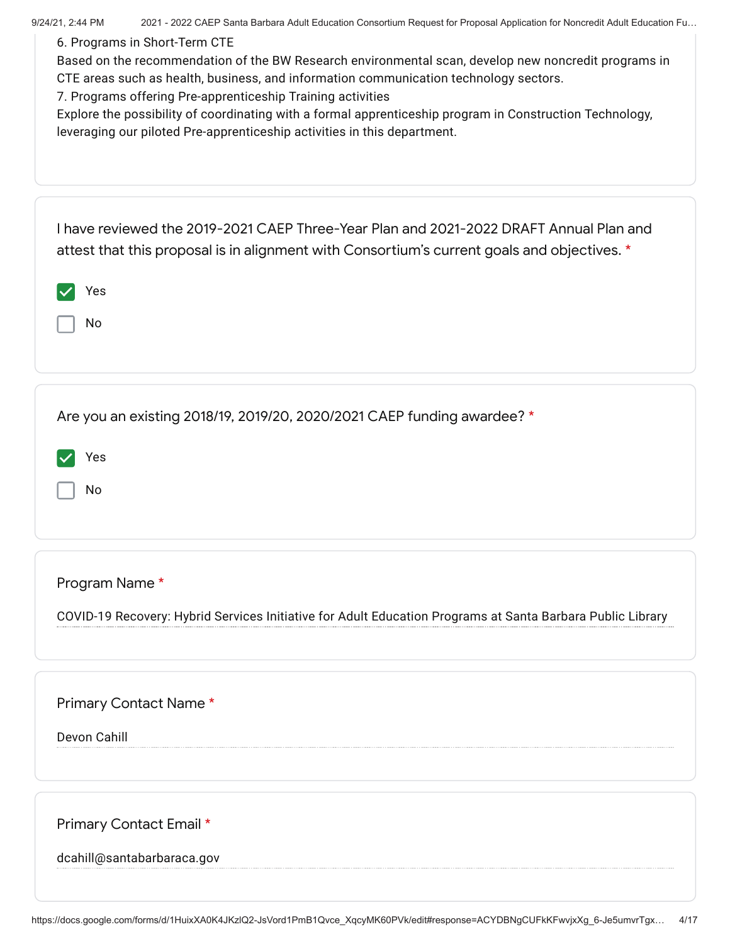| 9/24/21, 2:44 PM<br>6. Programs in Short-Term CTE     | 2021 - 2022 CAEP Santa Barbara Adult Education Consortium Request for Proposal Application for Noncredit Adult Education Fu<br>Based on the recommendation of the BW Research environmental scan, develop new noncredit programs in<br>CTE areas such as health, business, and information communication technology sectors.<br>7. Programs offering Pre-apprenticeship Training activities<br>Explore the possibility of coordinating with a formal apprenticeship program in Construction Technology,<br>leveraging our piloted Pre-apprenticeship activities in this department. |
|-------------------------------------------------------|-------------------------------------------------------------------------------------------------------------------------------------------------------------------------------------------------------------------------------------------------------------------------------------------------------------------------------------------------------------------------------------------------------------------------------------------------------------------------------------------------------------------------------------------------------------------------------------|
| Yes<br>No                                             | I have reviewed the 2019-2021 CAEP Three-Year Plan and 2021-2022 DRAFT Annual Plan and<br>attest that this proposal is in alignment with Consortium's current goals and objectives. *                                                                                                                                                                                                                                                                                                                                                                                               |
| Yes<br>No                                             | Are you an existing 2018/19, 2019/20, 2020/2021 CAEP funding awardee? *                                                                                                                                                                                                                                                                                                                                                                                                                                                                                                             |
| Program Name *                                        | COVID-19 Recovery: Hybrid Services Initiative for Adult Education Programs at Santa Barbara Public Library                                                                                                                                                                                                                                                                                                                                                                                                                                                                          |
| Primary Contact Name*<br>Devon Cahill                 |                                                                                                                                                                                                                                                                                                                                                                                                                                                                                                                                                                                     |
| Primary Contact Email *<br>dcahill@santabarbaraca.gov |                                                                                                                                                                                                                                                                                                                                                                                                                                                                                                                                                                                     |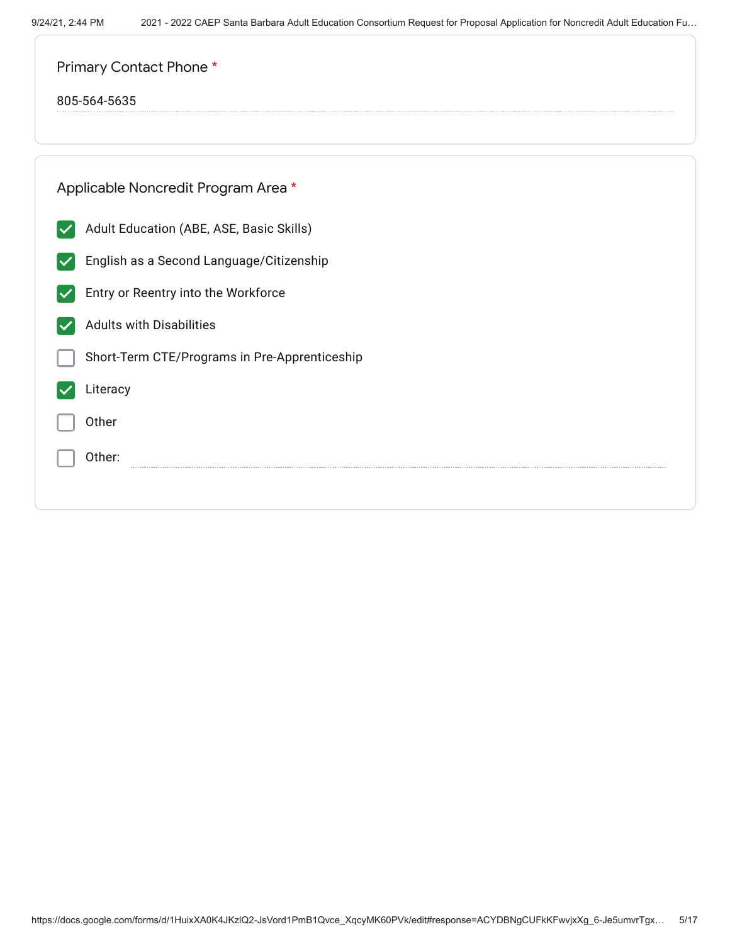| Primary Contact Phone *                       |  |  |  |  |  |
|-----------------------------------------------|--|--|--|--|--|
| 805-564-5635                                  |  |  |  |  |  |
|                                               |  |  |  |  |  |
| Applicable Noncredit Program Area *           |  |  |  |  |  |
| Adult Education (ABE, ASE, Basic Skills)      |  |  |  |  |  |
| English as a Second Language/Citizenship      |  |  |  |  |  |
| Entry or Reentry into the Workforce           |  |  |  |  |  |
| <b>Adults with Disabilities</b>               |  |  |  |  |  |
| Short-Term CTE/Programs in Pre-Apprenticeship |  |  |  |  |  |
| Literacy                                      |  |  |  |  |  |
| Other                                         |  |  |  |  |  |
| Other:                                        |  |  |  |  |  |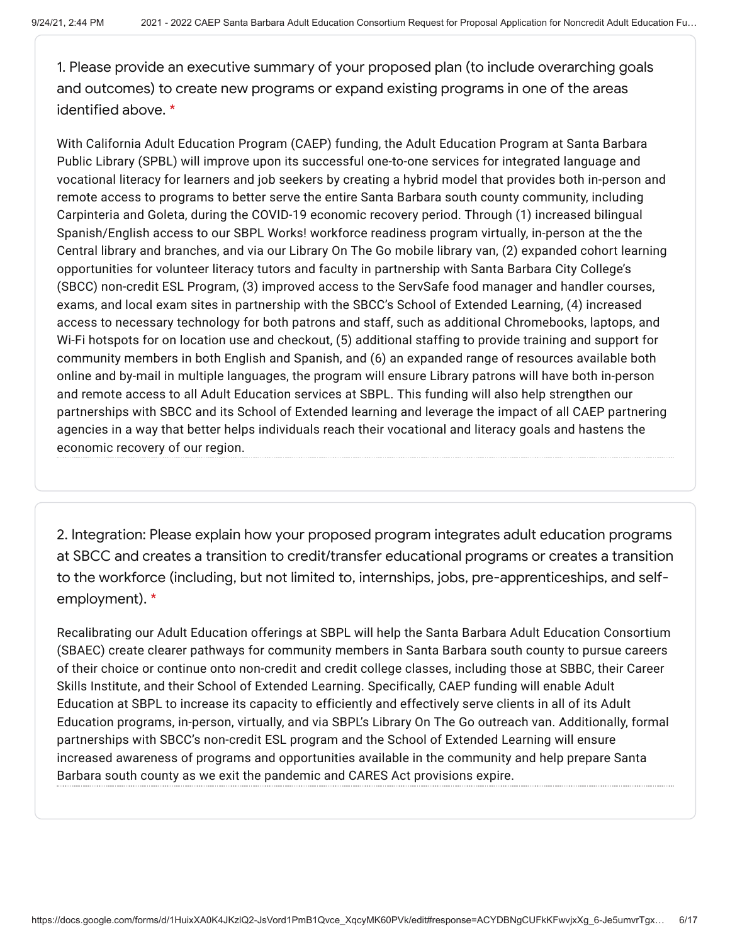1. Please provide an executive summary of your proposed plan (to include overarching goals and outcomes) to create new programs or expand existing programs in one of the areas identified above. \*

With California Adult Education Program (CAEP) funding, the Adult Education Program at Santa Barbara Public Library (SPBL) will improve upon its successful one-to-one services for integrated language and vocational literacy for learners and job seekers by creating a hybrid model that provides both in-person and remote access to programs to better serve the entire Santa Barbara south county community, including Carpinteria and Goleta, during the COVID-19 economic recovery period. Through (1) increased bilingual Spanish/English access to our SBPL Works! workforce readiness program virtually, in-person at the the Central library and branches, and via our Library On The Go mobile library van, (2) expanded cohort learning opportunities for volunteer literacy tutors and faculty in partnership with Santa Barbara City College's (SBCC) non-credit ESL Program, (3) improved access to the ServSafe food manager and handler courses, exams, and local exam sites in partnership with the SBCC's School of Extended Learning, (4) increased access to necessary technology for both patrons and staff, such as additional Chromebooks, laptops, and Wi-Fi hotspots for on location use and checkout, (5) additional staffing to provide training and support for community members in both English and Spanish, and (6) an expanded range of resources available both online and by-mail in multiple languages, the program will ensure Library patrons will have both in-person and remote access to all Adult Education services at SBPL. This funding will also help strengthen our partnerships with SBCC and its School of Extended learning and leverage the impact of all CAEP partnering agencies in a way that better helps individuals reach their vocational and literacy goals and hastens the economic recovery of our region.

2. Integration: Please explain how your proposed program integrates adult education programs at SBCC and creates a transition to credit/transfer educational programs or creates a transition to the workforce (including, but not limited to, internships, jobs, pre-apprenticeships, and selfemployment). \*

Recalibrating our Adult Education offerings at SBPL will help the Santa Barbara Adult Education Consortium (SBAEC) create clearer pathways for community members in Santa Barbara south county to pursue careers of their choice or continue onto non-credit and credit college classes, including those at SBBC, their Career Skills Institute, and their School of Extended Learning. Specifically, CAEP funding will enable Adult Education at SBPL to increase its capacity to efficiently and effectively serve clients in all of its Adult Education programs, in-person, virtually, and via SBPL's Library On The Go outreach van. Additionally, formal partnerships with SBCC's non-credit ESL program and the School of Extended Learning will ensure increased awareness of programs and opportunities available in the community and help prepare Santa Barbara south county as we exit the pandemic and CARES Act provisions expire.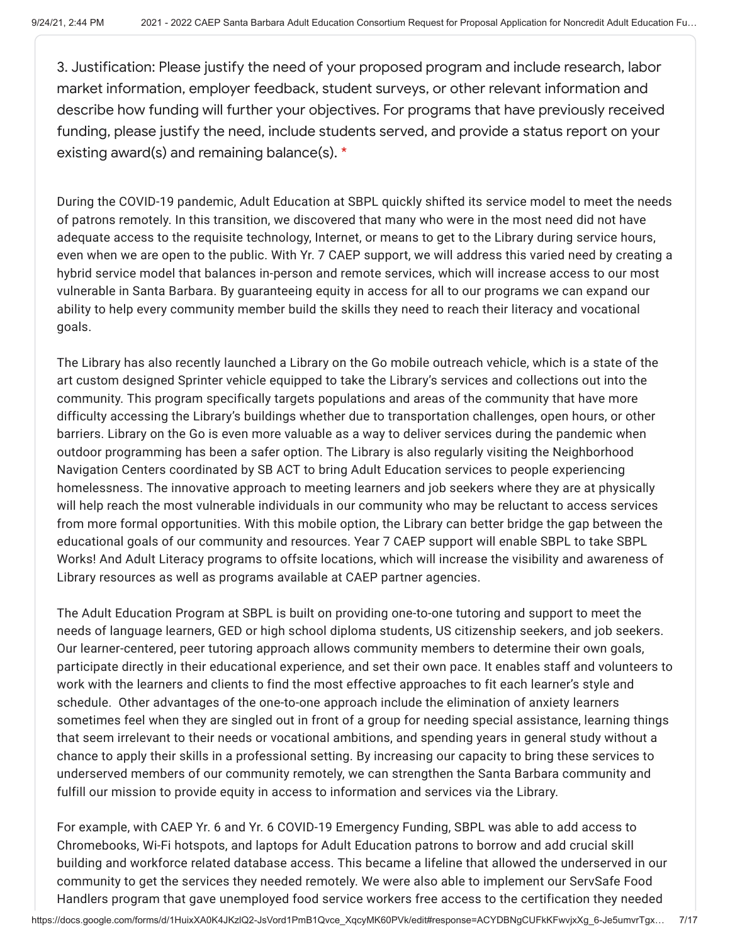3. Justification: Please justify the need of your proposed program and include research, labor market information, employer feedback, student surveys, or other relevant information and describe how funding will further your objectives. For programs that have previously received funding, please justify the need, include students served, and provide a status report on your existing award(s) and remaining balance(s). \*

During the COVID-19 pandemic, Adult Education at SBPL quickly shifted its service model to meet the needs of patrons remotely. In this transition, we discovered that many who were in the most need did not have adequate access to the requisite technology, Internet, or means to get to the Library during service hours, even when we are open to the public. With Yr. 7 CAEP support, we will address this varied need by creating a hybrid service model that balances in-person and remote services, which will increase access to our most vulnerable in Santa Barbara. By guaranteeing equity in access for all to our programs we can expand our ability to help every community member build the skills they need to reach their literacy and vocational goals.

The Library has also recently launched a Library on the Go mobile outreach vehicle, which is a state of the art custom designed Sprinter vehicle equipped to take the Library's services and collections out into the community. This program specifically targets populations and areas of the community that have more difficulty accessing the Library's buildings whether due to transportation challenges, open hours, or other barriers. Library on the Go is even more valuable as a way to deliver services during the pandemic when outdoor programming has been a safer option. The Library is also regularly visiting the Neighborhood Navigation Centers coordinated by SB ACT to bring Adult Education services to people experiencing homelessness. The innovative approach to meeting learners and job seekers where they are at physically will help reach the most vulnerable individuals in our community who may be reluctant to access services from more formal opportunities. With this mobile option, the Library can better bridge the gap between the educational goals of our community and resources. Year 7 CAEP support will enable SBPL to take SBPL Works! And Adult Literacy programs to offsite locations, which will increase the visibility and awareness of Library resources as well as programs available at CAEP partner agencies.

The Adult Education Program at SBPL is built on providing one-to-one tutoring and support to meet the needs of language learners, GED or high school diploma students, US citizenship seekers, and job seekers. Our learner-centered, peer tutoring approach allows community members to determine their own goals, participate directly in their educational experience, and set their own pace. It enables staff and volunteers to work with the learners and clients to find the most effective approaches to fit each learner's style and schedule. Other advantages of the one-to-one approach include the elimination of anxiety learners sometimes feel when they are singled out in front of a group for needing special assistance, learning things that seem irrelevant to their needs or vocational ambitions, and spending years in general study without a chance to apply their skills in a professional setting. By increasing our capacity to bring these services to underserved members of our community remotely, we can strengthen the Santa Barbara community and fulfill our mission to provide equity in access to information and services via the Library.

For example, with CAEP Yr. 6 and Yr. 6 COVID-19 Emergency Funding, SBPL was able to add access to Chromebooks, Wi-Fi hotspots, and laptops for Adult Education patrons to borrow and add crucial skill building and workforce related database access. This became a lifeline that allowed the underserved in our community to get the services they needed remotely. We were also able to implement our ServSafe Food Handlers program that gave unemployed food service workers free access to the certification they needed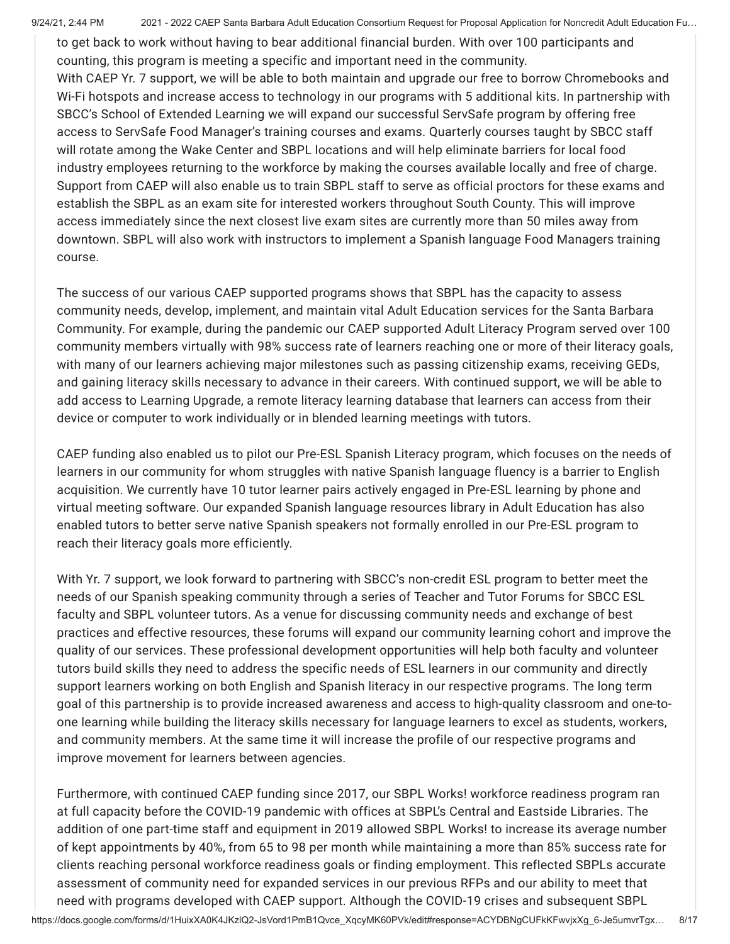9/24/21, 2:44 PM 2021 - 2022 CAEP Santa Barbara Adult Education Consortium Request for Proposal Application for Noncredit Adult Education Fu...

to get back to work without having to bear additional financial burden. With over 100 participants and counting, this program is meeting a specific and important need in the community.

With CAEP Yr. 7 support, we will be able to both maintain and upgrade our free to borrow Chromebooks and Wi-Fi hotspots and increase access to technology in our programs with 5 additional kits. In partnership with SBCC's School of Extended Learning we will expand our successful ServSafe program by offering free access to ServSafe Food Manager's training courses and exams. Quarterly courses taught by SBCC staff will rotate among the Wake Center and SBPL locations and will help eliminate barriers for local food industry employees returning to the workforce by making the courses available locally and free of charge. Support from CAEP will also enable us to train SBPL staff to serve as official proctors for these exams and establish the SBPL as an exam site for interested workers throughout South County. This will improve access immediately since the next closest live exam sites are currently more than 50 miles away from downtown. SBPL will also work with instructors to implement a Spanish language Food Managers training course.

The success of our various CAEP supported programs shows that SBPL has the capacity to assess community needs, develop, implement, and maintain vital Adult Education services for the Santa Barbara Community. For example, during the pandemic our CAEP supported Adult Literacy Program served over 100 community members virtually with 98% success rate of learners reaching one or more of their literacy goals, with many of our learners achieving major milestones such as passing citizenship exams, receiving GEDs, and gaining literacy skills necessary to advance in their careers. With continued support, we will be able to add access to Learning Upgrade, a remote literacy learning database that learners can access from their device or computer to work individually or in blended learning meetings with tutors.

CAEP funding also enabled us to pilot our Pre-ESL Spanish Literacy program, which focuses on the needs of learners in our community for whom struggles with native Spanish language fluency is a barrier to English acquisition. We currently have 10 tutor learner pairs actively engaged in Pre-ESL learning by phone and virtual meeting software. Our expanded Spanish language resources library in Adult Education has also enabled tutors to better serve native Spanish speakers not formally enrolled in our Pre-ESL program to reach their literacy goals more efficiently.

With Yr. 7 support, we look forward to partnering with SBCC's non-credit ESL program to better meet the needs of our Spanish speaking community through a series of Teacher and Tutor Forums for SBCC ESL faculty and SBPL volunteer tutors. As a venue for discussing community needs and exchange of best practices and effective resources, these forums will expand our community learning cohort and improve the quality of our services. These professional development opportunities will help both faculty and volunteer tutors build skills they need to address the specific needs of ESL learners in our community and directly support learners working on both English and Spanish literacy in our respective programs. The long term goal of this partnership is to provide increased awareness and access to high-quality classroom and one-toone learning while building the literacy skills necessary for language learners to excel as students, workers, and community members. At the same time it will increase the profile of our respective programs and improve movement for learners between agencies.

Furthermore, with continued CAEP funding since 2017, our SBPL Works! workforce readiness program ran at full capacity before the COVID-19 pandemic with offices at SBPL's Central and Eastside Libraries. The addition of one part-time staff and equipment in 2019 allowed SBPL Works! to increase its average number of kept appointments by 40%, from 65 to 98 per month while maintaining a more than 85% success rate for clients reaching personal workforce readiness goals or finding employment. This reflected SBPLs accurate assessment of community need for expanded services in our previous RFPs and our ability to meet that need with programs developed with CAEP support. Although the COVID-19 crises and subsequent SBPL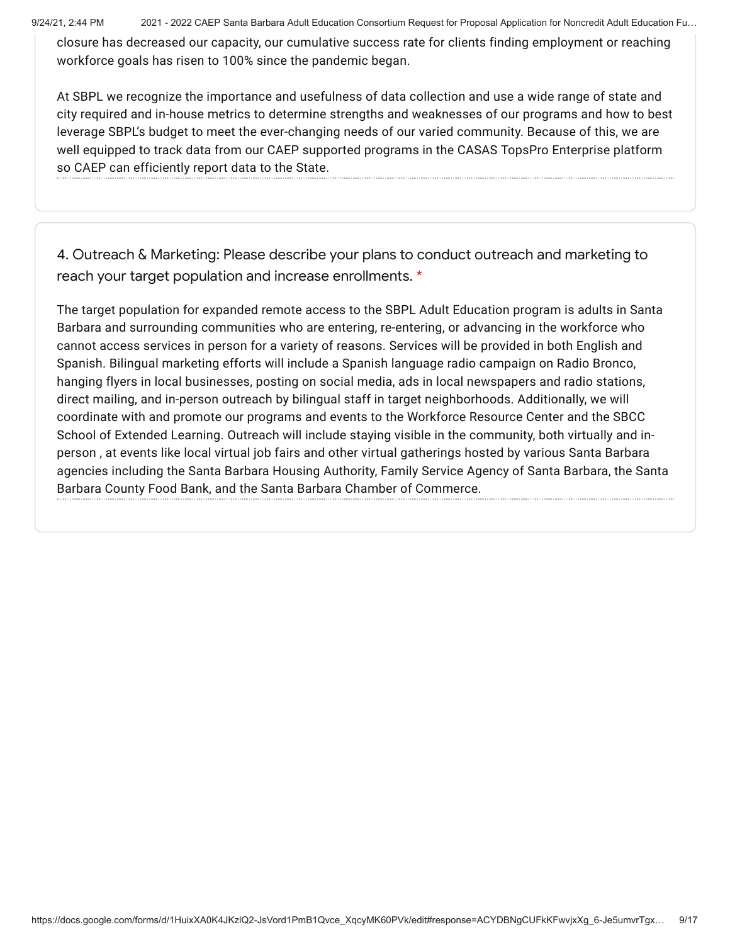9/24/21, 2:44 PM 2021 - 2022 CAEP Santa Barbara Adult Education Consortium Request for Proposal Application for Noncredit Adult Education Fu...

closure has decreased our capacity, our cumulative success rate for clients finding employment or reaching workforce goals has risen to 100% since the pandemic began.

At SBPL we recognize the importance and usefulness of data collection and use a wide range of state and city required and in-house metrics to determine strengths and weaknesses of our programs and how to best leverage SBPL's budget to meet the ever-changing needs of our varied community. Because of this, we are well equipped to track data from our CAEP supported programs in the CASAS TopsPro Enterprise platform so CAEP can efficiently report data to the State.

4. Outreach & Marketing: Please describe your plans to conduct outreach and marketing to reach your target population and increase enrollments. \*

The target population for expanded remote access to the SBPL Adult Education program is adults in Santa Barbara and surrounding communities who are entering, re-entering, or advancing in the workforce who cannot access services in person for a variety of reasons. Services will be provided in both English and Spanish. Bilingual marketing efforts will include a Spanish language radio campaign on Radio Bronco, hanging flyers in local businesses, posting on social media, ads in local newspapers and radio stations, direct mailing, and in-person outreach by bilingual staff in target neighborhoods. Additionally, we will coordinate with and promote our programs and events to the Workforce Resource Center and the SBCC School of Extended Learning. Outreach will include staying visible in the community, both virtually and inperson , at events like local virtual job fairs and other virtual gatherings hosted by various Santa Barbara agencies including the Santa Barbara Housing Authority, Family Service Agency of Santa Barbara, the Santa Barbara County Food Bank, and the Santa Barbara Chamber of Commerce.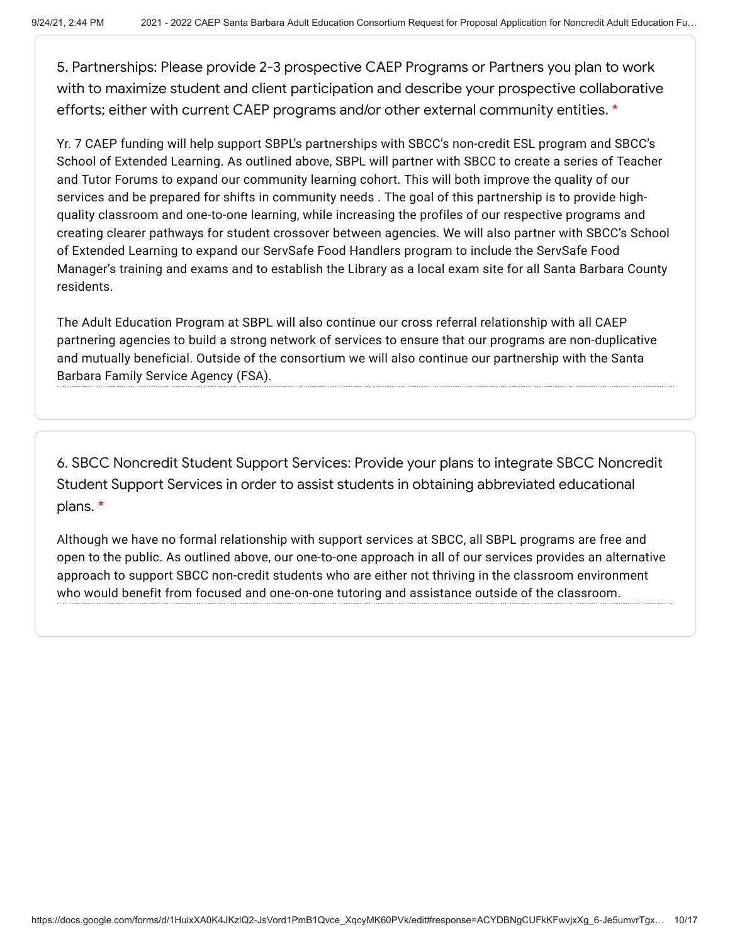5. Partnerships: Please provide 2-3 prospective CAEP Programs or Partners you plan to work with to maximize student and client participation and describe your prospective collaborative efforts; either with current CAEP programs and/or other external community entities. \*

Yr. 7 CAEP funding will help support SBPL's partnerships with SBCC's non-credit ESL program and SBCC's School of Extended Learning. As outlined above, SBPL will partner with SBCC to create a series of Teacher and Tutor Forums to expand our community learning cohort. This will both improve the quality of our services and be prepared for shifts in community needs . The goal of this partnership is to provide highquality classroom and one-to-one learning, while increasing the profiles of our respective programs and creating clearer pathways for student crossover between agencies. We will also partner with SBCC's School of Extended Learning to expand our ServSafe Food Handlers program to include the ServSafe Food Manager's training and exams and to establish the Library as a local exam site for all Santa Barbara County residents.

The Adult Education Program at SBPL will also continue our cross referral relationship with all CAEP partnering agencies to build a strong network of services to ensure that our programs are non-duplicative and mutually beneficial. Outside of the consortium we will also continue our partnership with the Santa Barbara Family Service Agency (FSA).

6. SBCC Noncredit Student Support Services: Provide your plans to integrate SBCC Noncredit Student Support Services in order to assist students in obtaining abbreviated educational plans. \*

Although we have no formal relationship with support services at SBCC, all SBPL programs are free and open to the public. As outlined above, our one-to-one approach in all of our services provides an alternative approach to support SBCC non-credit students who are either not thriving in the classroom environment who would benefit from focused and one-on-one tutoring and assistance outside of the classroom.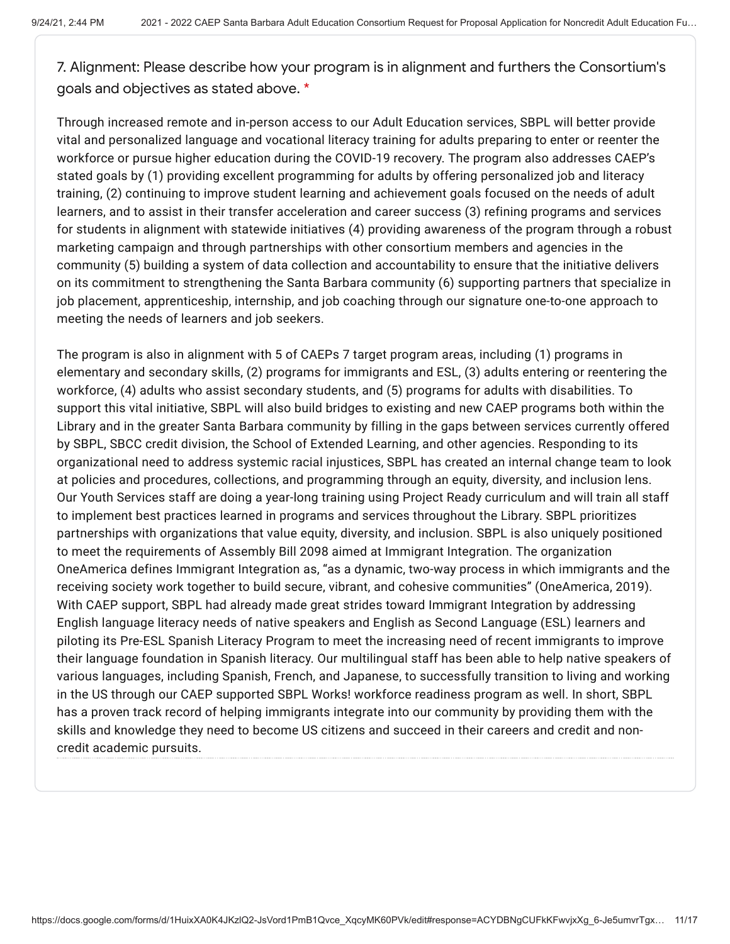7. Alignment: Please describe how your program is in alignment and furthers the Consortium's goals and objectives as stated above. \*

Through increased remote and in-person access to our Adult Education services, SBPL will better provide vital and personalized language and vocational literacy training for adults preparing to enter or reenter the workforce or pursue higher education during the COVID-19 recovery. The program also addresses CAEP's stated goals by (1) providing excellent programming for adults by offering personalized job and literacy training, (2) continuing to improve student learning and achievement goals focused on the needs of adult learners, and to assist in their transfer acceleration and career success (3) refining programs and services for students in alignment with statewide initiatives (4) providing awareness of the program through a robust marketing campaign and through partnerships with other consortium members and agencies in the community (5) building a system of data collection and accountability to ensure that the initiative delivers on its commitment to strengthening the Santa Barbara community (6) supporting partners that specialize in job placement, apprenticeship, internship, and job coaching through our signature one-to-one approach to meeting the needs of learners and job seekers.

The program is also in alignment with 5 of CAEPs 7 target program areas, including (1) programs in elementary and secondary skills, (2) programs for immigrants and ESL, (3) adults entering or reentering the workforce, (4) adults who assist secondary students, and (5) programs for adults with disabilities. To support this vital initiative, SBPL will also build bridges to existing and new CAEP programs both within the Library and in the greater Santa Barbara community by filling in the gaps between services currently offered by SBPL, SBCC credit division, the School of Extended Learning, and other agencies. Responding to its organizational need to address systemic racial injustices, SBPL has created an internal change team to look at policies and procedures, collections, and programming through an equity, diversity, and inclusion lens. Our Youth Services staff are doing a year-long training using Project Ready curriculum and will train all staff to implement best practices learned in programs and services throughout the Library. SBPL prioritizes partnerships with organizations that value equity, diversity, and inclusion. SBPL is also uniquely positioned to meet the requirements of Assembly Bill 2098 aimed at Immigrant Integration. The organization OneAmerica defines Immigrant Integration as, "as a dynamic, two-way process in which immigrants and the receiving society work together to build secure, vibrant, and cohesive communities" (OneAmerica, 2019). With CAEP support, SBPL had already made great strides toward Immigrant Integration by addressing English language literacy needs of native speakers and English as Second Language (ESL) learners and piloting its Pre-ESL Spanish Literacy Program to meet the increasing need of recent immigrants to improve their language foundation in Spanish literacy. Our multilingual staff has been able to help native speakers of various languages, including Spanish, French, and Japanese, to successfully transition to living and working in the US through our CAEP supported SBPL Works! workforce readiness program as well. In short, SBPL has a proven track record of helping immigrants integrate into our community by providing them with the skills and knowledge they need to become US citizens and succeed in their careers and credit and noncredit academic pursuits.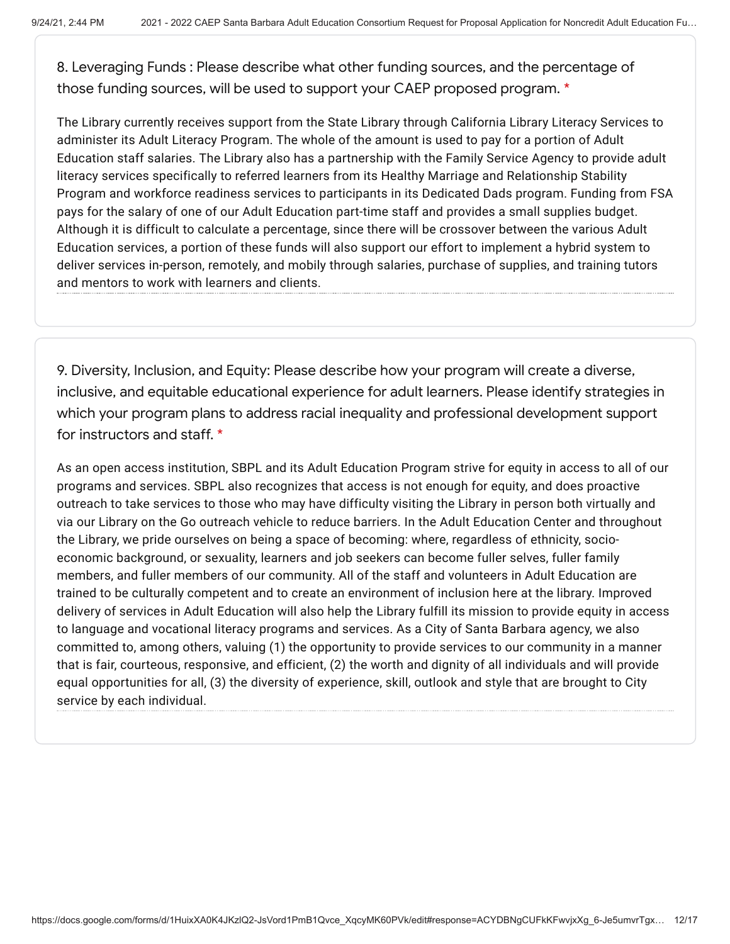8. Leveraging Funds : Please describe what other funding sources, and the percentage of those funding sources, will be used to support your CAEP proposed program. \*

The Library currently receives support from the State Library through California Library Literacy Services to administer its Adult Literacy Program. The whole of the amount is used to pay for a portion of Adult Education staff salaries. The Library also has a partnership with the Family Service Agency to provide adult literacy services specifically to referred learners from its Healthy Marriage and Relationship Stability Program and workforce readiness services to participants in its Dedicated Dads program. Funding from FSA pays for the salary of one of our Adult Education part-time staff and provides a small supplies budget. Although it is difficult to calculate a percentage, since there will be crossover between the various Adult Education services, a portion of these funds will also support our effort to implement a hybrid system to deliver services in-person, remotely, and mobily through salaries, purchase of supplies, and training tutors and mentors to work with learners and clients.

9. Diversity, Inclusion, and Equity: Please describe how your program will create a diverse, inclusive, and equitable educational experience for adult learners. Please identify strategies in which your program plans to address racial inequality and professional development support for instructors and staff. \*

As an open access institution, SBPL and its Adult Education Program strive for equity in access to all of our programs and services. SBPL also recognizes that access is not enough for equity, and does proactive outreach to take services to those who may have difficulty visiting the Library in person both virtually and via our Library on the Go outreach vehicle to reduce barriers. In the Adult Education Center and throughout the Library, we pride ourselves on being a space of becoming: where, regardless of ethnicity, socioeconomic background, or sexuality, learners and job seekers can become fuller selves, fuller family members, and fuller members of our community. All of the staff and volunteers in Adult Education are trained to be culturally competent and to create an environment of inclusion here at the library. Improved delivery of services in Adult Education will also help the Library fulfill its mission to provide equity in access to language and vocational literacy programs and services. As a City of Santa Barbara agency, we also committed to, among others, valuing (1) the opportunity to provide services to our community in a manner that is fair, courteous, responsive, and efficient, (2) the worth and dignity of all individuals and will provide equal opportunities for all, (3) the diversity of experience, skill, outlook and style that are brought to City service by each individual.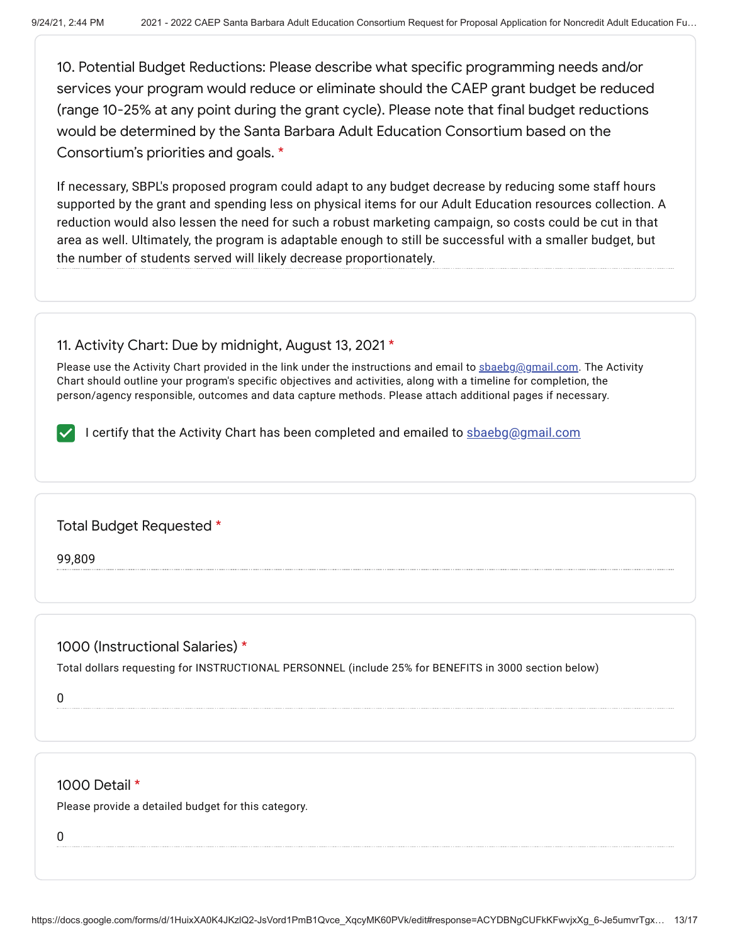10. Potential Budget Reductions: Please describe what specific programming needs and/or services your program would reduce or eliminate should the CAEP grant budget be reduced (range 10-25% at any point during the grant cycle). Please note that final budget reductions would be determined by the Santa Barbara Adult Education Consortium based on the Consortium's priorities and goals. \*

If necessary, SBPL's proposed program could adapt to any budget decrease by reducing some staff hours supported by the grant and spending less on physical items for our Adult Education resources collection. A reduction would also lessen the need for such a robust marketing campaign, so costs could be cut in that area as well. Ultimately, the program is adaptable enough to still be successful with a smaller budget, but the number of students served will likely decrease proportionately.

## 11. Activity Chart: Due by midnight, August 13, 2021 \*

Please use the Activity Chart provided in the link under the instructions and email to sbaebg@gmail.com. The Activity Chart should outline your program's specific objectives and activities, along with a timeline for completion, the person/agency responsible, outcomes and data capture methods. Please attach additional pages if necessary.

I certify that the Activity Chart has been completed and emailed to sbaebg@gmail.com

Total Budget Requested \*

99,809

## 1000 (Instructional Salaries) \*

Total dollars requesting for INSTRUCTIONAL PERSONNEL (include 25% for BENEFITS in 3000 section below)

0

## 1000 Detail \*

Please provide a detailed budget for this category.

0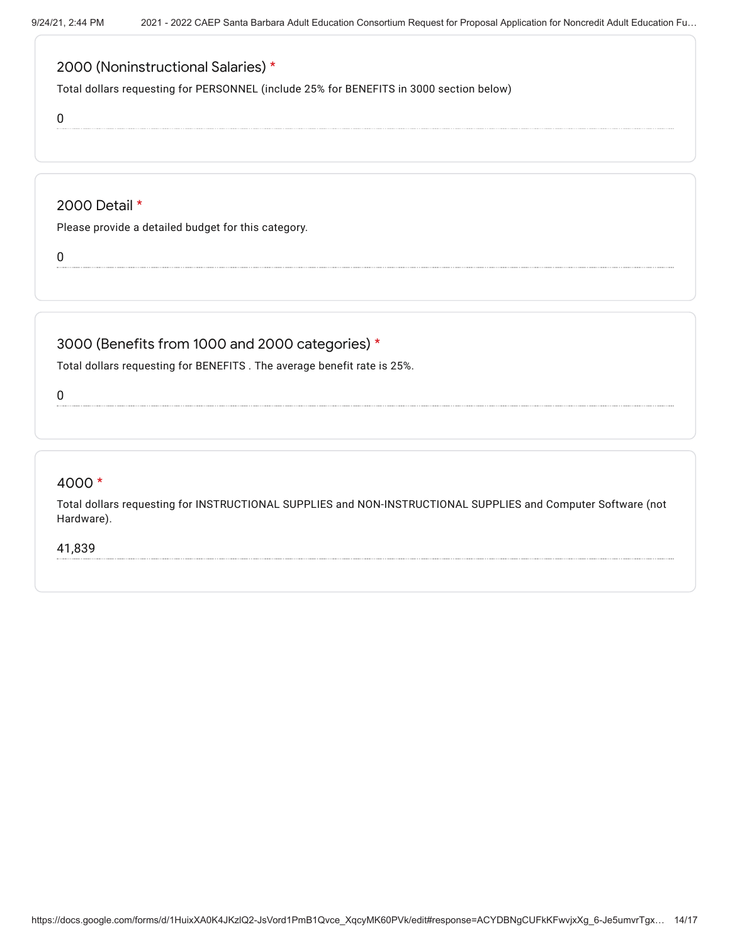# 2000 (Noninstructional Salaries) \*

Total dollars requesting for PERSONNEL (include 25% for BENEFITS in 3000 section below)

0

### 2000 Detail \*

Please provide a detailed budget for this category.

0

# 3000 (Benefits from 1000 and 2000 categories) \*

Total dollars requesting for BENEFITS . The average benefit rate is 25%.

0

#### 4000 \*

Total dollars requesting for INSTRUCTIONAL SUPPLIES and NON-INSTRUCTIONAL SUPPLIES and Computer Software (not Hardware).

41,839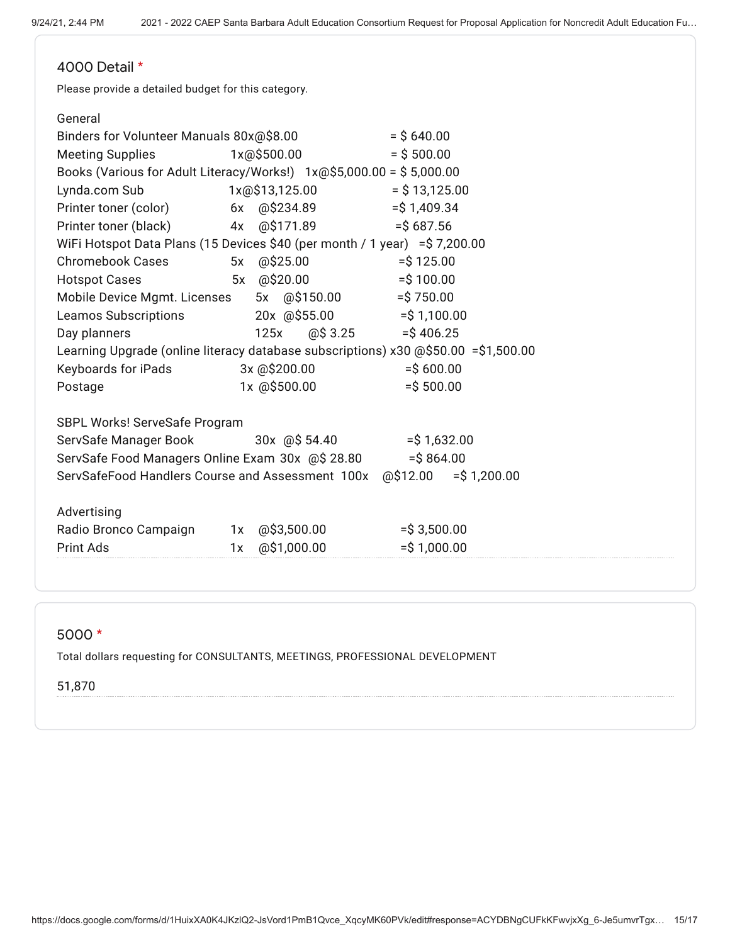# 4000 Detail \*

Please provide a detailed budget for this category.

#### General

| Binders for Volunteer Manuals 80x@\$8.00<br>$=$ \$640.00                           |    |              |  |                |  |                 |  |  |
|------------------------------------------------------------------------------------|----|--------------|--|----------------|--|-----------------|--|--|
| <b>Meeting Supplies</b>                                                            |    | 1x@\$500.00  |  |                |  | $=$ \$ 500.00   |  |  |
| Books (Various for Adult Literacy/Works!) 1x@\$5,000.00 = \$5,000.00               |    |              |  |                |  |                 |  |  |
| Lynda.com Sub                                                                      |    |              |  | 1x@\$13,125.00 |  | $=$ \$13,125.00 |  |  |
| Printer toner (color)                                                              |    | 6x @\$234.89 |  |                |  | $=$ \$1,409.34  |  |  |
| Printer toner (black)                                                              |    | 4x @\$171.89 |  |                |  | $=$ \$687.56    |  |  |
| WiFi Hotspot Data Plans (15 Devices \$40 (per month / 1 year) = \$7,200.00         |    |              |  |                |  |                 |  |  |
| Chromebook Cases                                                                   |    | 5x @\$25.00  |  |                |  | $=$ \$125.00    |  |  |
| <b>Hotspot Cases</b>                                                               | 5x | @\$20.00     |  |                |  | $=$ \$100.00    |  |  |
| Mobile Device Mgmt. Licenses                                                       |    |              |  | 5x @\$150.00   |  | $=$ \$750.00    |  |  |
| Leamos Subscriptions                                                               |    |              |  | 20x @\$55.00   |  | $=$ \$ 1,100.00 |  |  |
| Day planners                                                                       |    | 125x         |  | @\$3.25        |  | $=$ \$406.25    |  |  |
| Learning Upgrade (online literacy database subscriptions) x30 @\$50.00 =\$1,500.00 |    |              |  |                |  |                 |  |  |
| Keyboards for iPads                                                                |    | 3x @\$200.00 |  |                |  | $=$ \$600.00    |  |  |
| Postage                                                                            |    | 1x @\$500.00 |  |                |  | $=$ \$500.00    |  |  |
|                                                                                    |    |              |  |                |  |                 |  |  |
| SBPL Works! ServeSafe Program                                                      |    |              |  |                |  |                 |  |  |
| ServSafe Manager Book                                                              |    |              |  | 30x @\$ 54.40  |  | $=$ \$1,632.00  |  |  |
| ServSafe Food Managers Online Exam 30x @\$ 28.80<br>$=$ \$864.00                   |    |              |  |                |  |                 |  |  |
| ServSafeFood Handlers Course and Assessment 100x @\$12.00<br>$=$ \$1,200.00        |    |              |  |                |  |                 |  |  |
|                                                                                    |    |              |  |                |  |                 |  |  |
| Advertising                                                                        |    |              |  |                |  |                 |  |  |
| Radio Bronco Campaign                                                              | 1x |              |  | @\$3,500.00    |  | $=$ \$3,500.00  |  |  |
| <b>Print Ads</b>                                                                   | 1x |              |  | @\$1,000.00    |  | $=$ \$1,000.00  |  |  |

#### 5000 \*

Total dollars requesting for CONSULTANTS, MEETINGS, PROFESSIONAL DEVELOPMENT

#### 51,870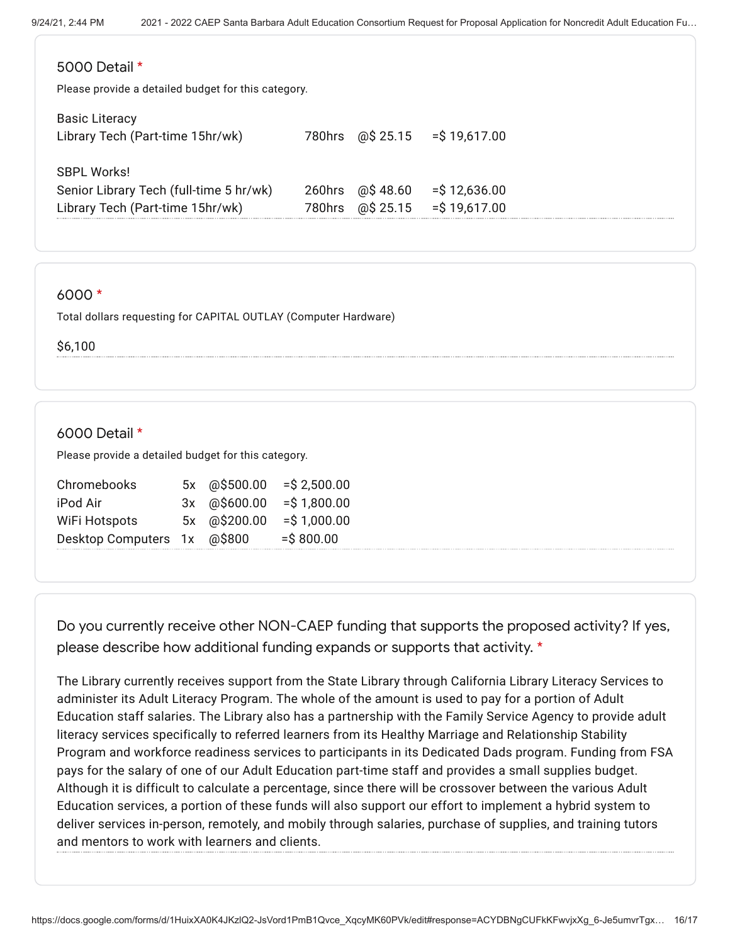| 5000 Detail *<br>Please provide a detailed budget for this category. |        |           |                 |  |  |  |  |
|----------------------------------------------------------------------|--------|-----------|-----------------|--|--|--|--|
| <b>Basic Literacy</b><br>Library Tech (Part-time 15hr/wk)            | 780hrs | @\$ 25.15 | $=$ \$19,617.00 |  |  |  |  |
| <b>SBPL Works!</b>                                                   |        |           |                 |  |  |  |  |
| Senior Library Tech (full-time 5 hr/wk)                              | 260hrs | @\$48.60  | $=$ \$12,636.00 |  |  |  |  |
| Library Tech (Part-time 15hr/wk)                                     | 780hrs | @\$ 25.15 | $=$ \$19,617.00 |  |  |  |  |

#### 6000 \*

Total dollars requesting for CAPITAL OUTLAY (Computer Hardware)

\$6,100

#### 6000 Detail \*

Please provide a detailed budget for this category.

| Chromebooks                 | 5x @\$500.00 | $=$ \$2,500.00 |
|-----------------------------|--------------|----------------|
| iPod Air                    | 3x @\$600.00 | $=$ \$1,800.00 |
| WiFi Hotspots               | 5x @\$200.00 | $=$ \$1,000.00 |
| Desktop Computers 1x @\$800 |              | $=$ \$800.00   |

Do you currently receive other NON-CAEP funding that supports the proposed activity? If yes, please describe how additional funding expands or supports that activity. \*

The Library currently receives support from the State Library through California Library Literacy Services to administer its Adult Literacy Program. The whole of the amount is used to pay for a portion of Adult Education staff salaries. The Library also has a partnership with the Family Service Agency to provide adult literacy services specifically to referred learners from its Healthy Marriage and Relationship Stability Program and workforce readiness services to participants in its Dedicated Dads program. Funding from FSA pays for the salary of one of our Adult Education part-time staff and provides a small supplies budget. Although it is difficult to calculate a percentage, since there will be crossover between the various Adult Education services, a portion of these funds will also support our effort to implement a hybrid system to deliver services in-person, remotely, and mobily through salaries, purchase of supplies, and training tutors and mentors to work with learners and clients.